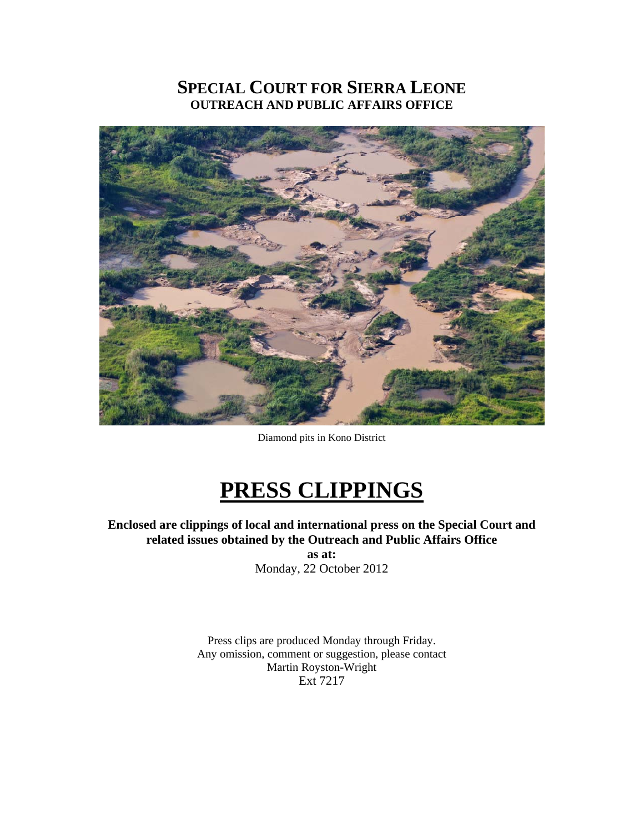# **SPECIAL COURT FOR SIERRA LEONE OUTREACH AND PUBLIC AFFAIRS OFFICE**



Diamond pits in Kono District

# **PRESS CLIPPINGS**

**Enclosed are clippings of local and international press on the Special Court and related issues obtained by the Outreach and Public Affairs Office** 

**as at:**  Monday, 22 October 2012

Press clips are produced Monday through Friday. Any omission, comment or suggestion, please contact Martin Royston-Wright Ext 7217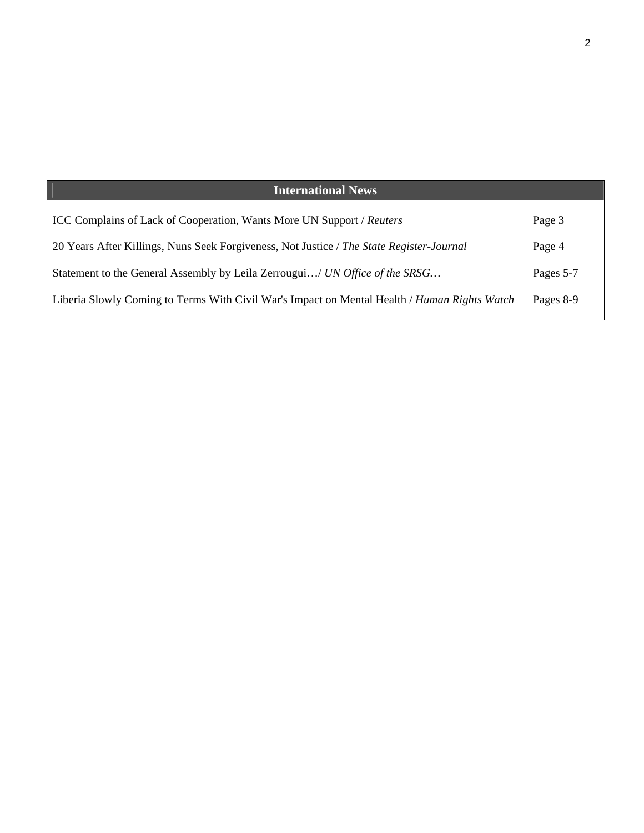# **International News**

| ICC Complains of Lack of Cooperation, Wants More UN Support / Reuters                        | Page 3    |
|----------------------------------------------------------------------------------------------|-----------|
| 20 Years After Killings, Nuns Seek Forgiveness, Not Justice / The State Register-Journal     | Page 4    |
| Statement to the General Assembly by Leila Zerrougui/ UN Office of the SRSG                  | Pages 5-7 |
| Liberia Slowly Coming to Terms With Civil War's Impact on Mental Health / Human Rights Watch | Pages 8-9 |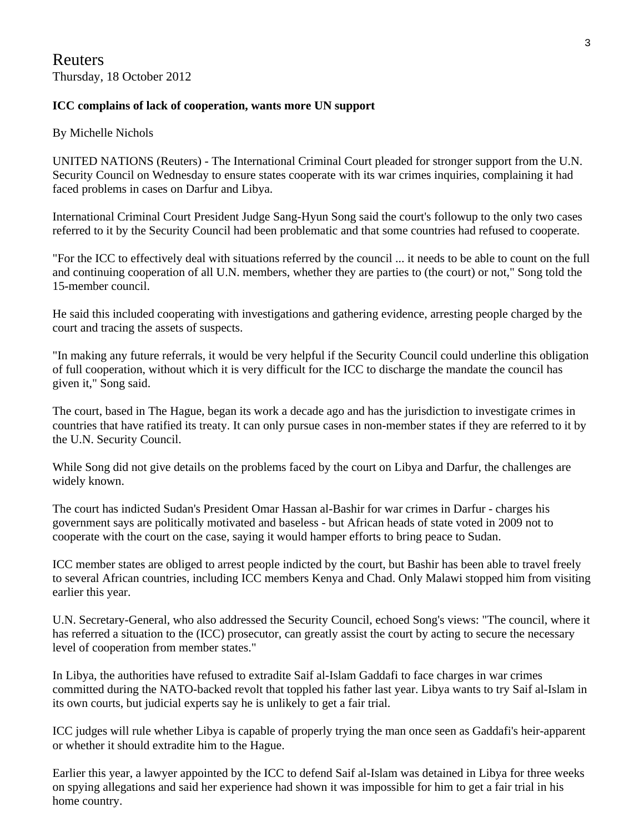#### **ICC complains of lack of cooperation, wants more UN support**

By Michelle Nichols

UNITED NATIONS (Reuters) - The International Criminal Court pleaded for stronger support from the U.N. Security Council on Wednesday to ensure states cooperate with its war crimes inquiries, complaining it had faced problems in cases on Darfur and Libya.

International Criminal Court President Judge Sang-Hyun Song said the court's followup to the only two cases referred to it by the Security Council had been problematic and that some countries had refused to cooperate.

"For the ICC to effectively deal with situations referred by the council ... it needs to be able to count on the full and continuing cooperation of all U.N. members, whether they are parties to (the court) or not," Song told the 15-member council.

He said this included cooperating with investigations and gathering evidence, arresting people charged by the court and tracing the assets of suspects.

"In making any future referrals, it would be very helpful if the Security Council could underline this obligation of full cooperation, without which it is very difficult for the ICC to discharge the mandate the council has given it," Song said.

The court, based in The Hague, began its work a decade ago and has the jurisdiction to investigate crimes in countries that have ratified its treaty. It can only pursue cases in non-member states if they are referred to it by the U.N. Security Council.

While Song did not give details on the problems faced by the court on Libya and Darfur, the challenges are widely known.

The court has indicted Sudan's President Omar Hassan al-Bashir for war crimes in Darfur - charges his government says are politically motivated and baseless - but African heads of state voted in 2009 not to cooperate with the court on the case, saying it would hamper efforts to bring peace to Sudan.

ICC member states are obliged to arrest people indicted by the court, but Bashir has been able to travel freely to several African countries, including ICC members Kenya and Chad. Only Malawi stopped him from visiting earlier this year.

U.N. Secretary-General, who also addressed the Security Council, echoed Song's views: "The council, where it has referred a situation to the (ICC) prosecutor, can greatly assist the court by acting to secure the necessary level of cooperation from member states."

In Libya, the authorities have refused to extradite Saif al-Islam Gaddafi to face charges in war crimes committed during the NATO-backed revolt that toppled his father last year. Libya wants to try Saif al-Islam in its own courts, but judicial experts say he is unlikely to get a fair trial.

ICC judges will rule whether Libya is capable of properly trying the man once seen as Gaddafi's heir-apparent or whether it should extradite him to the Hague.

Earlier this year, a lawyer appointed by the ICC to defend Saif al-Islam was detained in Libya for three weeks on spying allegations and said her experience had shown it was impossible for him to get a fair trial in his home country.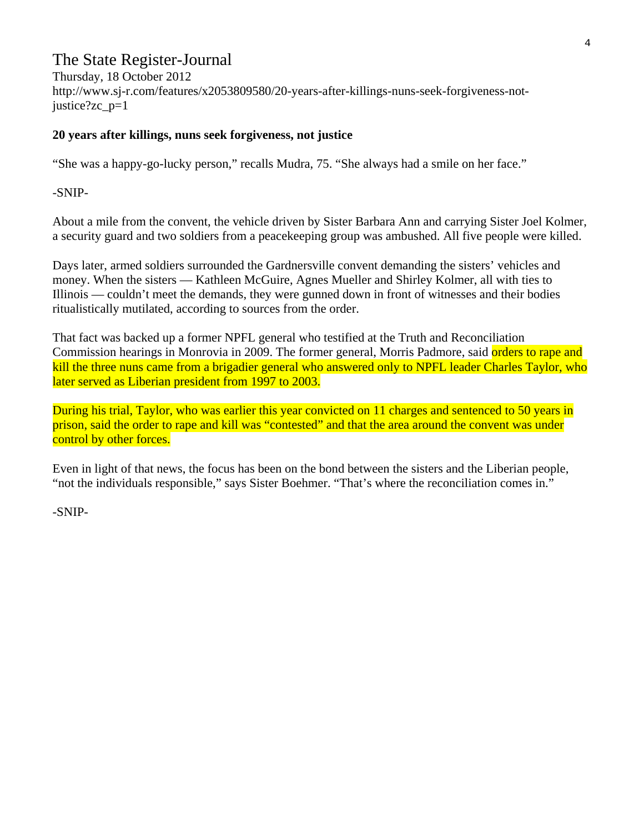## The State Register-Journal

Thursday, 18 October 2012 http://www.sj-r.com/features/x2053809580/20-years-after-killings-nuns-seek-forgiveness-notjustice?zc\_p=1

#### **20 years after killings, nuns seek forgiveness, not justice**

"She was a happy-go-lucky person," recalls Mudra, 75. "She always had a smile on her face."

-SNIP-

About a mile from the convent, the vehicle driven by Sister Barbara Ann and carrying Sister Joel Kolmer, a security guard and two soldiers from a peacekeeping group was ambushed. All five people were killed.

Days later, armed soldiers surrounded the Gardnersville convent demanding the sisters' vehicles and money. When the sisters — Kathleen McGuire, Agnes Mueller and Shirley Kolmer, all with ties to Illinois — couldn't meet the demands, they were gunned down in front of witnesses and their bodies ritualistically mutilated, according to sources from the order.

That fact was backed up a former NPFL general who testified at the Truth and Reconciliation Commission hearings in Monrovia in 2009. The former general, Morris Padmore, said orders to rape and kill the three nuns came from a brigadier general who answered only to NPFL leader Charles Taylor, who later served as Liberian president from 1997 to 2003.

During his trial, Taylor, who was earlier this year convicted on 11 charges and sentenced to 50 years in prison, said the order to rape and kill was "contested" and that the area around the convent was under control by other forces.

Even in light of that news, the focus has been on the bond between the sisters and the Liberian people, "not the individuals responsible," says Sister Boehmer. "That's where the reconciliation comes in."

-SNIP-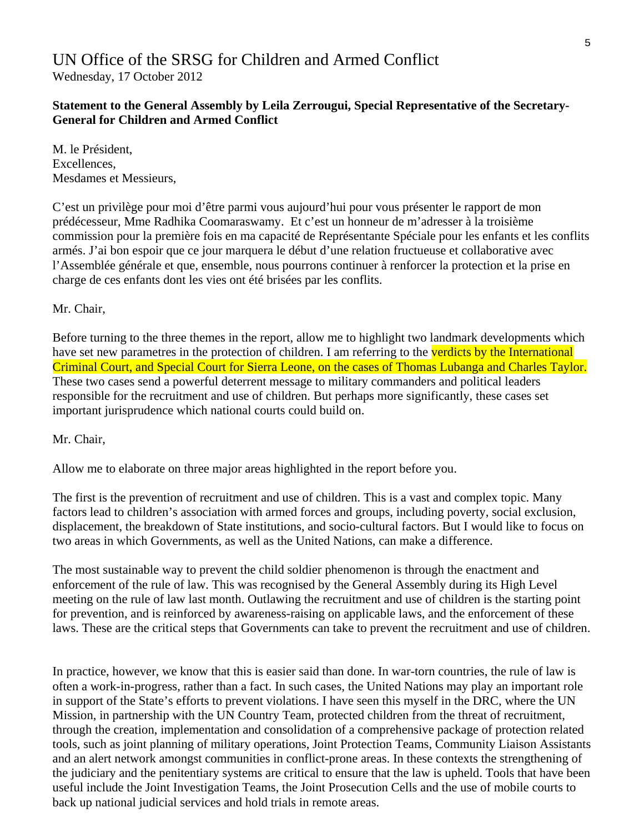# UN Office of the SRSG for Children and Armed Conflict

Wednesday, 17 October 2012

#### **Statement to the General Assembly by Leila Zerrougui, Special Representative of the Secretary-General for Children and Armed Conflict**

M. le Président, Excellences, Mesdames et Messieurs,

C'est un privilège pour moi d'être parmi vous aujourd'hui pour vous présenter le rapport de mon prédécesseur, Mme Radhika Coomaraswamy. Et c'est un honneur de m'adresser à la troisième commission pour la première fois en ma capacité de Représentante Spéciale pour les enfants et les conflits armés. J'ai bon espoir que ce jour marquera le début d'une relation fructueuse et collaborative avec l'Assemblée générale et que, ensemble, nous pourrons continuer à renforcer la protection et la prise en charge de ces enfants dont les vies ont été brisées par les conflits.

#### Mr. Chair,

Before turning to the three themes in the report, allow me to highlight two landmark developments which have set new parametres in the protection of children. I am referring to the verdicts by the International Criminal Court, and Special Court for Sierra Leone, on the cases of Thomas Lubanga and Charles Taylor. These two cases send a powerful deterrent message to military commanders and political leaders responsible for the recruitment and use of children. But perhaps more significantly, these cases set important jurisprudence which national courts could build on.

Mr. Chair,

Allow me to elaborate on three major areas highlighted in the report before you.

The first is the prevention of recruitment and use of children. This is a vast and complex topic. Many factors lead to children's association with armed forces and groups, including poverty, social exclusion, displacement, the breakdown of State institutions, and socio-cultural factors. But I would like to focus on two areas in which Governments, as well as the United Nations, can make a difference.

The most sustainable way to prevent the child soldier phenomenon is through the enactment and enforcement of the rule of law. This was recognised by the General Assembly during its High Level meeting on the rule of law last month. Outlawing the recruitment and use of children is the starting point for prevention, and is reinforced by awareness-raising on applicable laws, and the enforcement of these laws. These are the critical steps that Governments can take to prevent the recruitment and use of children.

In practice, however, we know that this is easier said than done. In war-torn countries, the rule of law is often a work-in-progress, rather than a fact. In such cases, the United Nations may play an important role in support of the State's efforts to prevent violations. I have seen this myself in the DRC, where the UN Mission, in partnership with the UN Country Team, protected children from the threat of recruitment, through the creation, implementation and consolidation of a comprehensive package of protection related tools, such as joint planning of military operations, Joint Protection Teams, Community Liaison Assistants and an alert network amongst communities in conflict-prone areas. In these contexts the strengthening of the judiciary and the penitentiary systems are critical to ensure that the law is upheld. Tools that have been useful include the Joint Investigation Teams, the Joint Prosecution Cells and the use of mobile courts to back up national judicial services and hold trials in remote areas.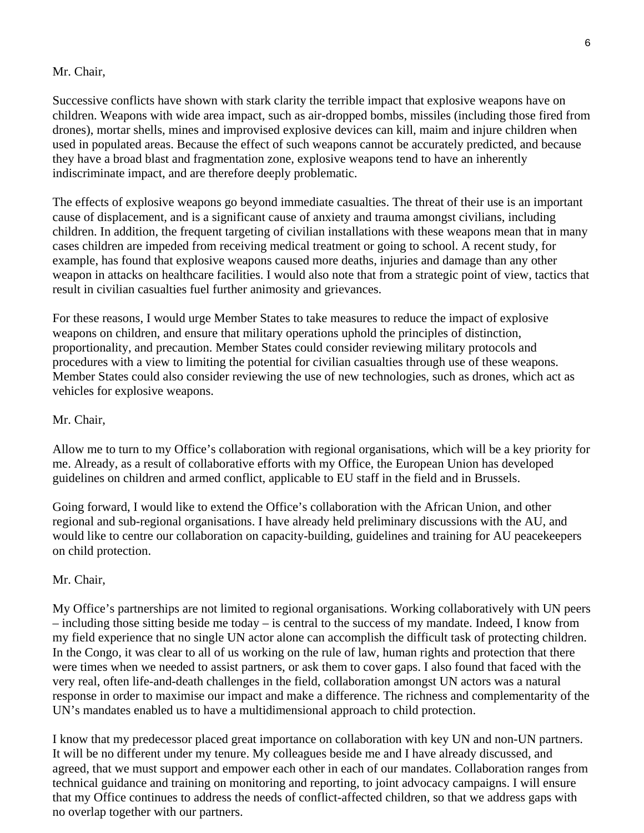#### Mr. Chair,

Successive conflicts have shown with stark clarity the terrible impact that explosive weapons have on children. Weapons with wide area impact, such as air-dropped bombs, missiles (including those fired from drones), mortar shells, mines and improvised explosive devices can kill, maim and injure children when used in populated areas. Because the effect of such weapons cannot be accurately predicted, and because they have a broad blast and fragmentation zone, explosive weapons tend to have an inherently indiscriminate impact, and are therefore deeply problematic.

The effects of explosive weapons go beyond immediate casualties. The threat of their use is an important cause of displacement, and is a significant cause of anxiety and trauma amongst civilians, including children. In addition, the frequent targeting of civilian installations with these weapons mean that in many cases children are impeded from receiving medical treatment or going to school. A recent study, for example, has found that explosive weapons caused more deaths, injuries and damage than any other weapon in attacks on healthcare facilities. I would also note that from a strategic point of view, tactics that result in civilian casualties fuel further animosity and grievances.

For these reasons, I would urge Member States to take measures to reduce the impact of explosive weapons on children, and ensure that military operations uphold the principles of distinction, proportionality, and precaution. Member States could consider reviewing military protocols and procedures with a view to limiting the potential for civilian casualties through use of these weapons. Member States could also consider reviewing the use of new technologies, such as drones, which act as vehicles for explosive weapons.

#### Mr. Chair,

Allow me to turn to my Office's collaboration with regional organisations, which will be a key priority for me. Already, as a result of collaborative efforts with my Office, the European Union has developed guidelines on children and armed conflict, applicable to EU staff in the field and in Brussels.

Going forward, I would like to extend the Office's collaboration with the African Union, and other regional and sub-regional organisations. I have already held preliminary discussions with the AU, and would like to centre our collaboration on capacity-building, guidelines and training for AU peacekeepers on child protection.

#### Mr. Chair,

My Office's partnerships are not limited to regional organisations. Working collaboratively with UN peers – including those sitting beside me today – is central to the success of my mandate. Indeed, I know from my field experience that no single UN actor alone can accomplish the difficult task of protecting children. In the Congo, it was clear to all of us working on the rule of law, human rights and protection that there were times when we needed to assist partners, or ask them to cover gaps. I also found that faced with the very real, often life-and-death challenges in the field, collaboration amongst UN actors was a natural response in order to maximise our impact and make a difference. The richness and complementarity of the UN's mandates enabled us to have a multidimensional approach to child protection.

I know that my predecessor placed great importance on collaboration with key UN and non-UN partners. It will be no different under my tenure. My colleagues beside me and I have already discussed, and agreed, that we must support and empower each other in each of our mandates. Collaboration ranges from technical guidance and training on monitoring and reporting, to joint advocacy campaigns. I will ensure that my Office continues to address the needs of conflict-affected children, so that we address gaps with no overlap together with our partners.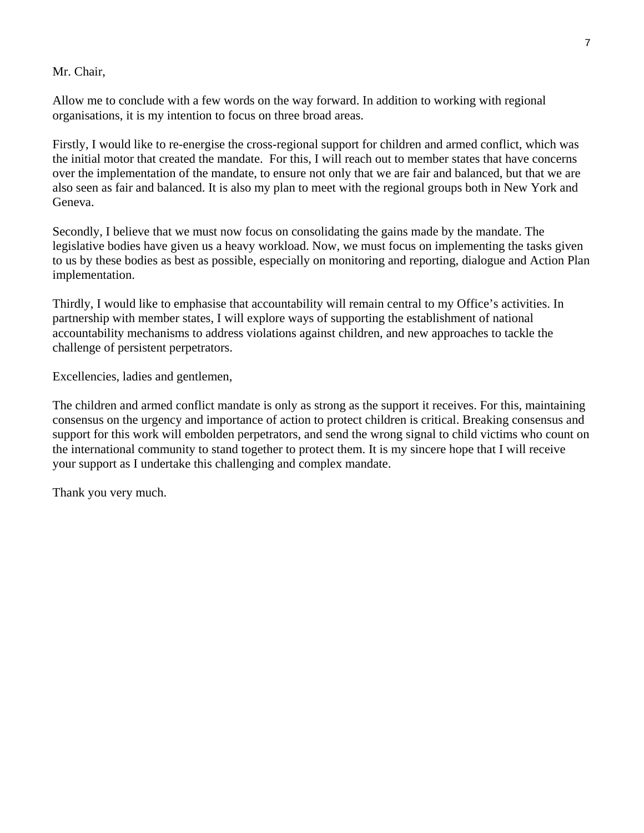#### Mr. Chair,

Allow me to conclude with a few words on the way forward. In addition to working with regional organisations, it is my intention to focus on three broad areas.

Firstly, I would like to re-energise the cross-regional support for children and armed conflict, which was the initial motor that created the mandate. For this, I will reach out to member states that have concerns over the implementation of the mandate, to ensure not only that we are fair and balanced, but that we are also seen as fair and balanced. It is also my plan to meet with the regional groups both in New York and Geneva.

Secondly, I believe that we must now focus on consolidating the gains made by the mandate. The legislative bodies have given us a heavy workload. Now, we must focus on implementing the tasks given to us by these bodies as best as possible, especially on monitoring and reporting, dialogue and Action Plan implementation.

Thirdly, I would like to emphasise that accountability will remain central to my Office's activities. In partnership with member states, I will explore ways of supporting the establishment of national accountability mechanisms to address violations against children, and new approaches to tackle the challenge of persistent perpetrators.

Excellencies, ladies and gentlemen,

The children and armed conflict mandate is only as strong as the support it receives. For this, maintaining consensus on the urgency and importance of action to protect children is critical. Breaking consensus and support for this work will embolden perpetrators, and send the wrong signal to child victims who count on the international community to stand together to protect them. It is my sincere hope that I will receive your support as I undertake this challenging and complex mandate.

Thank you very much.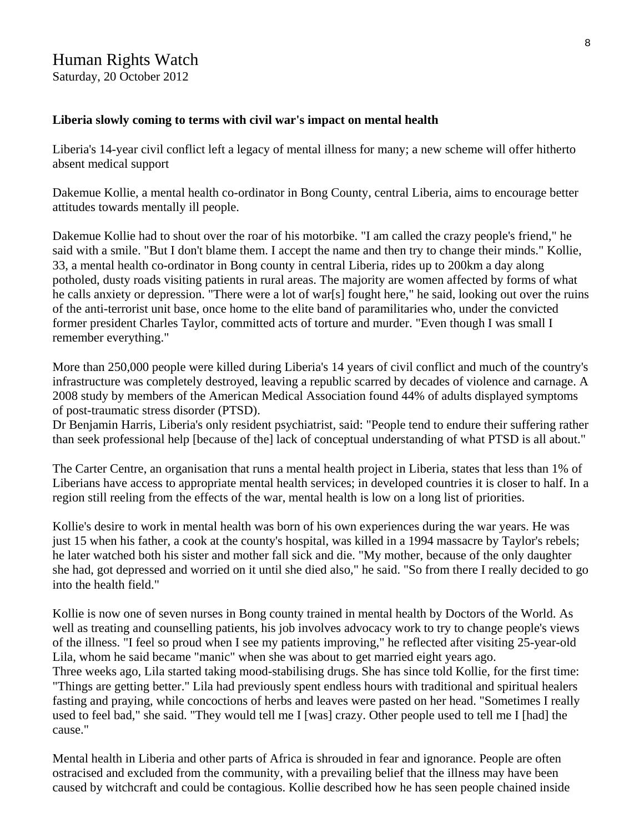## Human Rights Watch

Saturday, 20 October 2012

#### **Liberia slowly coming to terms with civil war's impact on mental health**

Liberia's 14-year civil conflict left a legacy of mental illness for many; a new scheme will offer hitherto absent medical support

Dakemue Kollie, a mental health co-ordinator in Bong County, central Liberia, aims to encourage better attitudes towards mentally ill people.

Dakemue Kollie had to shout over the roar of his motorbike. "I am called the crazy people's friend," he said with a smile. "But I don't blame them. I accept the name and then try to change their minds." Kollie, 33, a mental health co-ordinator in Bong county in central Liberia, rides up to 200km a day along potholed, dusty roads visiting patients in rural areas. The majority are women affected by forms of what he calls anxiety or depression. "There were a lot of war[s] fought here," he said, looking out over the ruins of the anti-terrorist unit base, once home to the elite band of paramilitaries who, under the convicted former president Charles Taylor, committed acts of torture and murder. "Even though I was small I remember everything."

More than 250,000 people were killed during Liberia's 14 years of civil conflict and much of the country's infrastructure was completely destroyed, leaving a republic scarred by decades of violence and carnage. A 2008 study by members of the American Medical Association found 44% of adults displayed symptoms of post-traumatic stress disorder (PTSD).

Dr Benjamin Harris, Liberia's only resident psychiatrist, said: "People tend to endure their suffering rather than seek professional help [because of the] lack of conceptual understanding of what PTSD is all about."

The Carter Centre, an organisation that runs a mental health project in Liberia, states that less than 1% of Liberians have access to appropriate mental health services; in developed countries it is closer to half. In a region still reeling from the effects of the war, mental health is low on a long list of priorities.

Kollie's desire to work in mental health was born of his own experiences during the war years. He was just 15 when his father, a cook at the county's hospital, was killed in a 1994 massacre by Taylor's rebels; he later watched both his sister and mother fall sick and die. "My mother, because of the only daughter she had, got depressed and worried on it until she died also," he said. "So from there I really decided to go into the health field."

Kollie is now one of seven nurses in Bong county trained in mental health by Doctors of the World. As well as treating and counselling patients, his job involves advocacy work to try to change people's views of the illness. "I feel so proud when I see my patients improving," he reflected after visiting 25-year-old Lila, whom he said became "manic" when she was about to get married eight years ago. Three weeks ago, Lila started taking mood-stabilising drugs. She has since told Kollie, for the first time: "Things are getting better." Lila had previously spent endless hours with traditional and spiritual healers fasting and praying, while concoctions of herbs and leaves were pasted on her head. "Sometimes I really used to feel bad," she said. "They would tell me I [was] crazy. Other people used to tell me I [had] the cause."

Mental health in Liberia and other parts of Africa is shrouded in fear and ignorance. People are often ostracised and excluded from the community, with a prevailing belief that the illness may have been caused by witchcraft and could be contagious. Kollie described how he has seen people chained inside